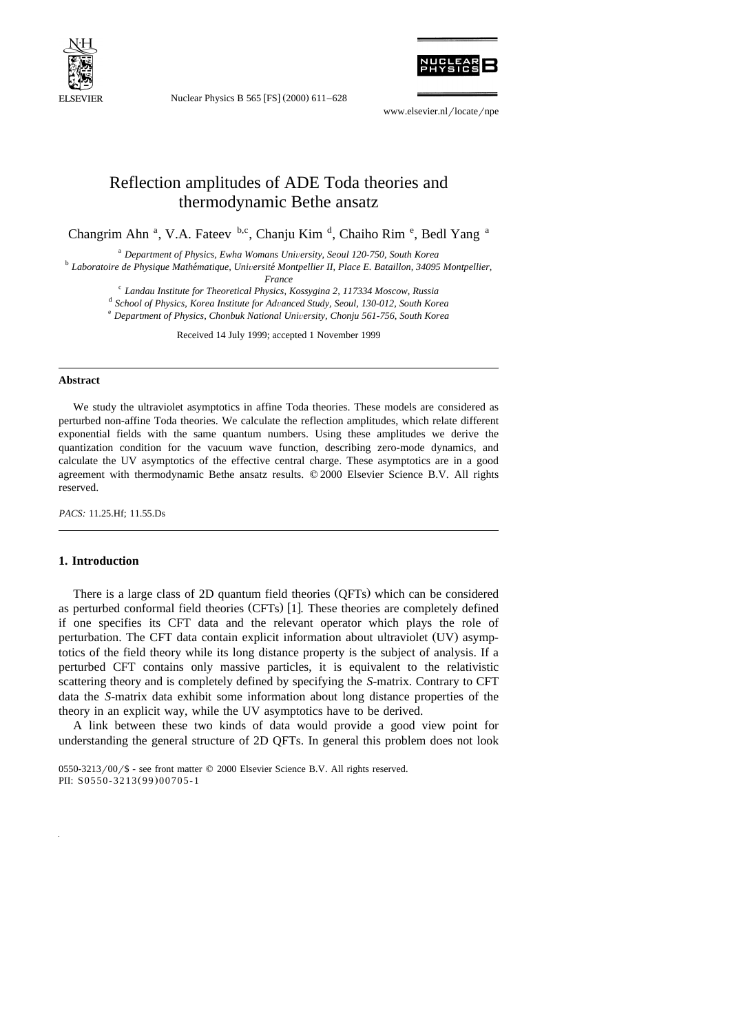

Nuclear Physics B 565 [FS] (2000) 611-628



www.elsevier.nl/locate/npe

# Reflection amplitudes of ADE Toda theories and thermodynamic Bethe ansatz

Changrim Ahn<sup>a</sup>, V.A. Fateev b,c, Chanju Kim<sup>d</sup>, Chaiho Rim<sup>e</sup>, Bedl Yang<sup>a</sup>

<sup>a</sup> *Department of Physics, Ewha Womans University, Seoul 120-750, South Korea*<br>*b Laboratoire de Physique Mathématique, Université Montpellier II, Place E. Bataillon, 34095 Montpellier,*<br>*France* 

<sup>c</sup> Landau Institute for Theoretical Physics, Kossygina 2, 117334 Moscow, Russia<br>d School of Physics, Korea Institute for Advanced Study, Seoul, 130-012, South Korea<br>e Department of Physics, Chonbuk National University, C

Received 14 July 1999; accepted 1 November 1999

#### **Abstract**

We study the ultraviolet asymptotics in affine Toda theories. These models are considered as perturbed non-affine Toda theories. We calculate the reflection amplitudes, which relate different exponential fields with the same quantum numbers. Using these amplitudes we derive the quantization condition for the vacuum wave function, describing zero-mode dynamics, and calculate the UV asymptotics of the effective central charge. These asymptotics are in a good agreement with thermodynamic Bethe ansatz results. © 2000 Elsevier Science B.V. All rights reserved.

*PACS:* 11.25.Hf; 11.55.Ds

# **1. Introduction**

There is a large class of 2D quantum field theories (QFTs) which can be considered as perturbed conformal field theories  $(CFTs)$  [1]. These theories are completely defined if one specifies its CFT data and the relevant operator which plays the role of perturbation. The CFT data contain explicit information about ultraviolet  $(UV)$  asymptotics of the field theory while its long distance property is the subject of analysis. If a perturbed CFT contains only massive particles, it is equivalent to the relativistic scattering theory and is completely defined by specifying the *S*-matrix. Contrary to CFT data the *S*-matrix data exhibit some information about long distance properties of the theory in an explicit way, while the UV asymptotics have to be derived.

A link between these two kinds of data would provide a good view point for understanding the general structure of 2D QFTs. In general this problem does not look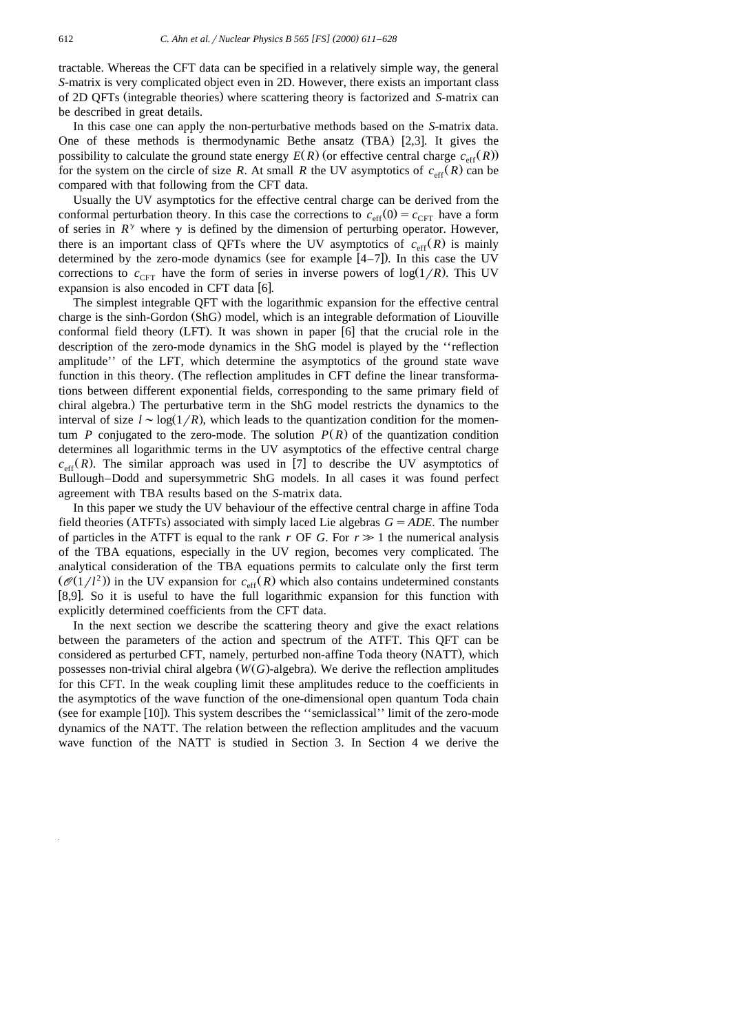tractable. Whereas the CFT data can be specified in a relatively simple way, the general *S*-matrix is very complicated object even in 2D. However, there exists an important class of 2D QFTs (integrable theories) where scattering theory is factorized and S-matrix can be described in great details.

In this case one can apply the non-perturbative methods based on the *S*-matrix data. One of these methods is thermodynamic Bethe ansatz  $(TBA)$  [2,3]. It gives the possibility to calculate the ground state energy  $E(R)$  (or effective central charge  $c_{\text{eff}}(R)$ ) for the system on the circle of size *R*. At small *R* the UV asymptotics of  $c_{\text{eff}}(R)$  can be compared with that following from the CFT data.

Usually the UV asymptotics for the effective central charge can be derived from the conformal perturbation theory. In this case the corrections to  $c_{\text{eff}}(0) = c_{\text{CFT}}$  have a form of series in  $R^{\gamma}$  where  $\gamma$  is defined by the dimension of perturbing operator. However, there is an important class of QFTs where the UV asymptotics of  $c_{\text{eff}}(R)$  is mainly determined by the zero-mode dynamics (see for example  $[4-7]$ ). In this case the UV corrections to  $c_{CFT}$  have the form of series in inverse powers of  $log(1/R)$ . This UV expansion is also encoded in CFT data  $[6]$ .

The simplest integrable QFT with the logarithmic expansion for the effective central charge is the sinh-Gordon (ShG) model, which is an integrable deformation of Liouville conformal field theory (LFT). It was shown in paper  $[6]$  that the crucial role in the description of the zero-mode dynamics in the ShG model is played by the ''reflection amplitude'' of the LFT, which determine the asymptotics of the ground state wave function in this theory. (The reflection amplitudes in CFT define the linear transformations between different exponential fields, corresponding to the same primary field of chiral algebra.) The perturbative term in the ShG model restricts the dynamics to the interval of size  $l \sim \log(1/R)$ , which leads to the quantization condition for the momentum *P* conjugated to the zero-mode. The solution  $P(R)$  of the quantization condition determines all logarithmic terms in the UV asymptotics of the effective central charge  $c_{\text{eff}}(R)$ . The similar approach was used in [7] to describe the UV asymptotics of Bullough–Dodd and supersymmetric ShG models. In all cases it was found perfect agreement with TBA results based on the *S*-matrix data.

In this paper we study the UV behaviour of the effective central charge in affine Toda field theories (ATFTs) associated with simply laced Lie algebras  $G = ADE$ . The number of particles in the ATFT is equal to the rank *r* OF *G*. For  $r \gg 1$  the numerical analysis of the TBA equations, especially in the UV region, becomes very complicated. The analytical consideration of the TBA equations permits to calculate only the first term  $(\mathcal{O}(1/l^2))$  in the UV expansion for  $c_{\text{eff}}(R)$  which also contains undetermined constants  $[8,9]$ . So it is useful to have the full logarithmic expansion for this function with explicitly determined coefficients from the CFT data.

In the next section we describe the scattering theory and give the exact relations between the parameters of the action and spectrum of the ATFT. This QFT can be considered as perturbed CFT, namely, perturbed non-affine Toda theory (NATT), which possesses non-trivial chiral algebra  $(W(G)$ -algebra). We derive the reflection amplitudes for this CFT. In the weak coupling limit these amplitudes reduce to the coefficients in the asymptotics of the wave function of the one-dimensional open quantum Toda chain (see for example [10]). This system describes the "semiclassical" limit of the zero-mode dynamics of the NATT. The relation between the reflection amplitudes and the vacuum wave function of the NATT is studied in Section 3. In Section 4 we derive the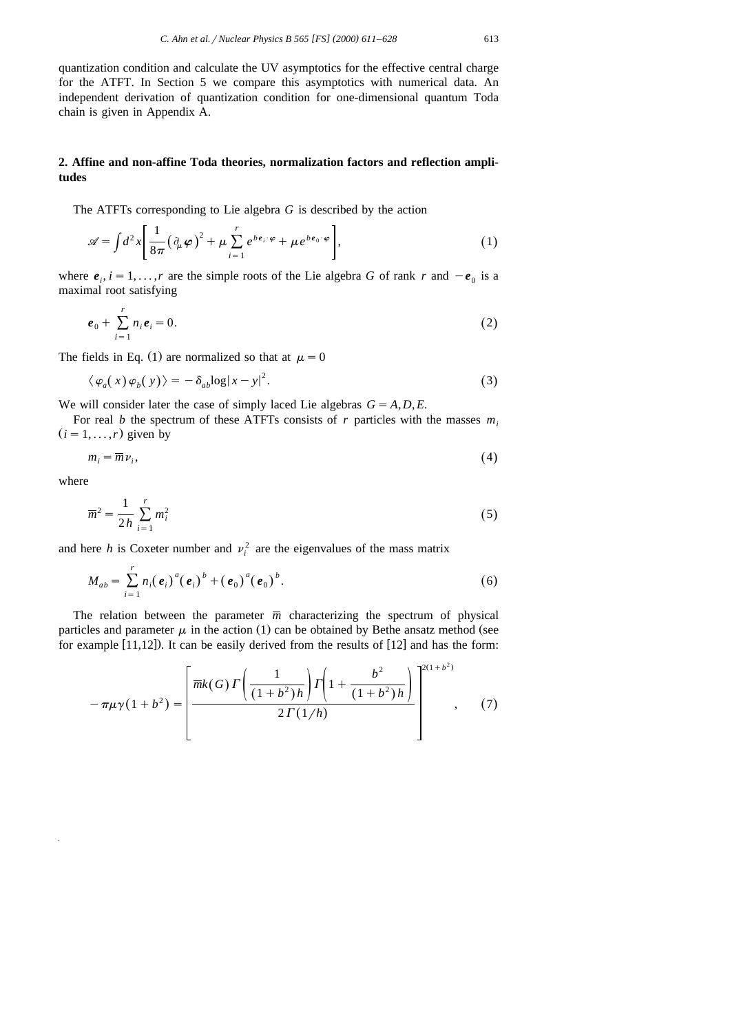quantization condition and calculate the UV asymptotics for the effective central charge for the ATFT. In Section 5 we compare this asymptotics with numerical data. An independent derivation of quantization condition for one-dimensional quantum Toda chain is given in Appendix A.

# **2. Affine and non-affine Toda theories, normalization factors and reflection amplitudes**

The ATFTs corresponding to Lie algebra *G* is described by the action

$$
\mathscr{A} = \int d^2x \left[ \frac{1}{8\pi} \left( \partial_\mu \varphi \right)^2 + \mu \sum_{i=1}^r e^{b e_i \cdot \varphi} + \mu e^{b e_0 \cdot \varphi} \right],\tag{1}
$$

where  $e_i$ ,  $i = 1, \ldots, r$  are the simple roots of the Lie algebra *G* of rank *r* and  $-e_0$  is a maximal root satisfying

$$
e_0 + \sum_{i=1}^r n_i e_i = 0.
$$
 (2)

The fields in Eq. (1) are normalized so that at  $\mu = 0$ 

$$
\langle \varphi_a(x) \varphi_b(y) \rangle = -\delta_{ab} \log|x - y|^2. \tag{3}
$$

We will consider later the case of simply laced Lie algebras  $G = A, D, E$ .

For real *b* the spectrum of these ATFTs consists of *r* particles with the masses  $m_i$  $(i = 1, \ldots, r)$  given by

$$
m_i = \overline{m}\nu_i,\tag{4}
$$

where

$$
\overline{m}^2 = \frac{1}{2h} \sum_{i=1}^r m_i^2
$$
 (5)

and here *h* is Coxeter number and  $v_i^2$  are the eigenvalues of the mass matrix

$$
M_{ab} = \sum_{i=1}^{r} n_i (e_i)^a (e_i)^b + (e_0)^a (e_0)^b.
$$
 (6)

The relation between the parameter  $\overline{m}$  characterizing the spectrum of physical particles and parameter  $\mu$  in the action (1) can be obtained by Bethe ansatz method (see for example  $[11,12]$ . It can be easily derived from the results of  $[12]$  and has the form:

$$
-\pi\mu\gamma(1+b^2) = \left[\frac{\overline{m}k(G)\Gamma\left(\frac{1}{(1+b^2)h}\right)\Gamma\left(1+\frac{b^2}{(1+b^2)h}\right)}{2\Gamma(1/h)}\right]^{2(1+b^2)} ,\quad (7)
$$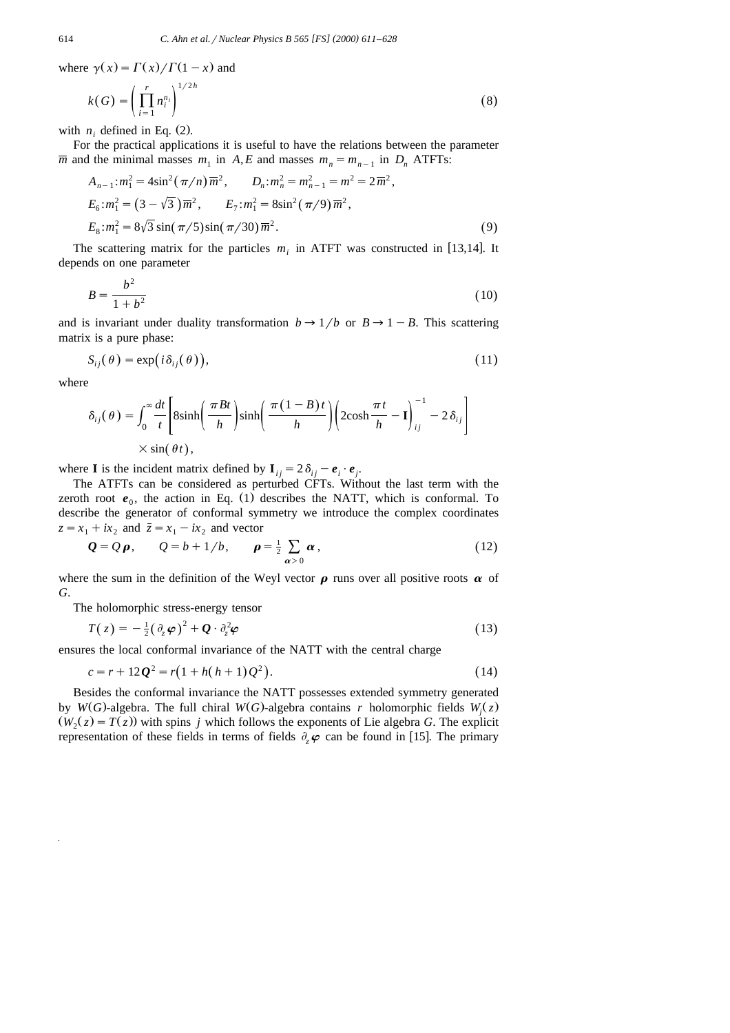where  $\gamma(x) = \Gamma(x)/\Gamma(1-x)$  and

$$
k(G) = \left(\prod_{i=1}^{r} n_i^{n_i}\right)^{1/2h} \tag{8}
$$

with  $n_i$  defined in Eq. (2).

For the practical applications it is useful to have the relations between the parameter  $\overline{m}$  and the minimal masses  $m_1$  in  $A$ , E and masses  $m_n = m_{n-1}$  in  $D_n$  ATFTs:

$$
A_{n-1}: m_1^2 = 4\sin^2(\pi/n)\overline{m}^2, \qquad D_n: m_n^2 = m_{n-1}^2 = m^2 = 2\overline{m}^2,
$$
  
\n
$$
E_6: m_1^2 = (3 - \sqrt{3})\overline{m}^2, \qquad E_7: m_1^2 = 8\sin^2(\pi/9)\overline{m}^2,
$$
  
\n
$$
E_8: m_1^2 = 8\sqrt{3}\sin(\pi/5)\sin(\pi/30)\overline{m}^2.
$$
 (9)

The scattering matrix for the particles  $m_i$  in ATFT was constructed in [13,14]. It depends on one parameter

$$
B = \frac{b^2}{1+b^2} \tag{10}
$$

and is invariant under duality transformation  $b \rightarrow 1/b$  or  $B \rightarrow 1-B$ . This scattering matrix is a pure phase:

$$
S_{ij}(\theta) = \exp(i\delta_{ij}(\theta)),
$$
\n(11)

where

$$
\delta_{ij}(\theta) = \int_0^\infty \frac{dt}{t} \left[ 8\sinh\left(\frac{\pi Bt}{h}\right) \sinh\left(\frac{\pi (1-B)t}{h}\right) \left(2\cosh\frac{\pi t}{h} - \mathbf{I}\right)_{ij}^{-1} - 2\delta_{ij} \right]
$$

$$
\times \sin(\theta t),
$$

where **I** is the incident matrix defined by  $I_{ij} = 2\delta_{ij} - e_i \cdot e_j$ .

The ATFTs can be considered as perturbed CFTs. Without the last term with the zeroth root  $e_0$ , the action in Eq. (1) describes the NATT, which is conformal. To describe the generator of conformal symmetry we introduce the complex coordinates  $z = x_1 + ix_2$  and  $\overline{z} = x_1 - ix_2$  and vector

$$
Q = Q \rho, \qquad Q = b + 1/b, \qquad \rho = \frac{1}{2} \sum_{\alpha > 0} \alpha, \qquad (12)
$$

where the sum in the definition of the Weyl vector  $\rho$  runs over all positive roots  $\alpha$  of *G*.

The holomorphic stress-energy tensor

$$
T(z) = -\frac{1}{2}(\partial_z \varphi)^2 + \mathbf{Q} \cdot \partial_z^2 \varphi \tag{13}
$$

ensures the local conformal invariance of the NATT with the central charge

$$
c = r + 12Q^2 = r(1 + h(h+1)Q^2).
$$
 (14)

Besides the conformal invariance the NATT possesses extended symmetry generated by *W*(*G*)-algebra. The full chiral *W*(*G*)-algebra contains *r* holomorphic fields *W*<sub>i</sub>(*z*)  $(W_2(z) = T(z))$  with spins *j* which follows the exponents of Lie algebra *G*. The explicit representation of these fields in terms of fields  $\partial_{\varphi} \varphi$  can be found in [15]. The primary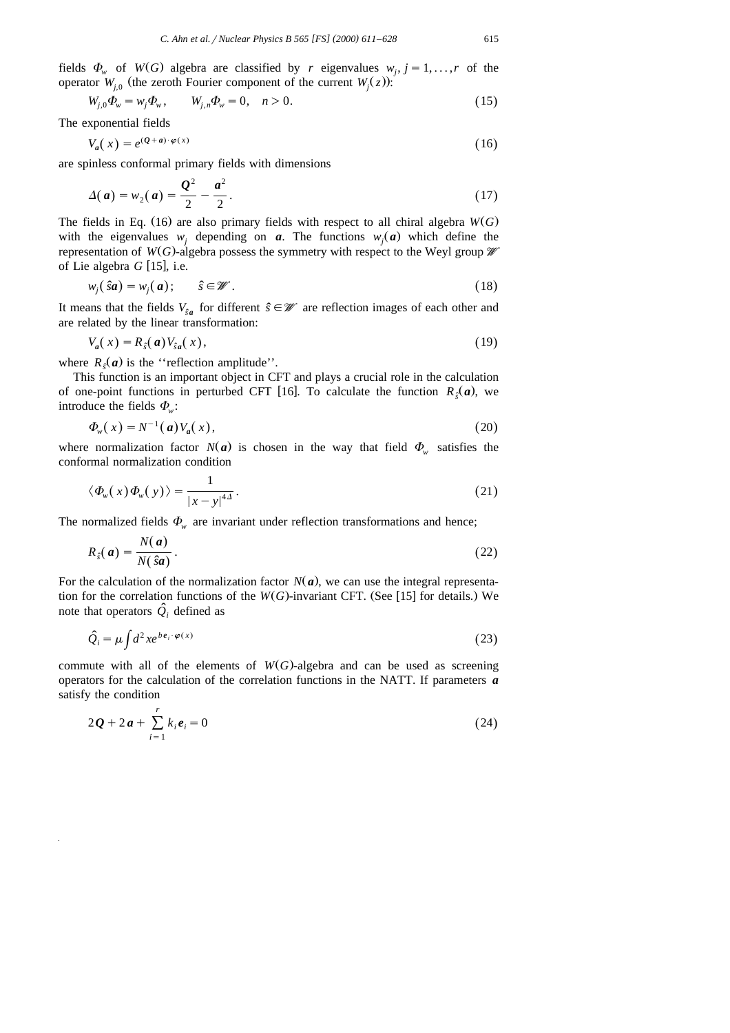fields  $\Phi_{\omega}$  of  $W(G)$  algebra are classified by *r* eigenvalues  $w_i$ ,  $j = 1, \ldots, r$  of the operator *W*<sub>*i*.0</sub> (the zeroth Fourier component of the current *W*<sub>*j*</sub>( $z$ )):

$$
W_{j,0}\Phi_w = w_j \Phi_w, \qquad W_{j,n}\Phi_w = 0, \quad n > 0.
$$
\n(15)

The exponential fields

$$
V_a(x) = e^{(Q+a)\cdot\varphi(x)}\tag{16}
$$

are spinless conformal primary fields with dimensions

$$
\Delta(a) = w_2(a) = \frac{Q^2}{2} - \frac{a^2}{2}.
$$
\n(17)

The fields in Eq. (16) are also primary fields with respect to all chiral algebra  $W(G)$ with the eigenvalues  $w_i$  depending on *a*. The functions  $w_i(a)$  which define the representation of  $W(G)$ -algebra possess the symmetry with respect to the Weyl group  $\mathscr W$ of Lie algebra  $G$  [15], i.e.

$$
w_j(\hat{s}\boldsymbol{a}) = w_j(\boldsymbol{a}); \qquad \hat{s} \in \mathscr{W}.
$$
 (18)

It means that the fields  $V_{\hat{S}a}$  for different  $\hat{s} \in \mathcal{W}$  are reflection images of each other and are related by the linear transformation:

$$
V_a(x) = R_s(a)V_{sa}(x), \qquad (19)
$$

where  $R_{\hat{s}}(a)$  is the "reflection amplitude".

This function is an important object in CFT and plays a crucial role in the calculation of one-point functions in perturbed CFT [16]. To calculate the function  $R_{\epsilon}(a)$ , we introduce the fields  $\Phi_{\omega}$ :

$$
\Phi_{w}(x) = N^{-1}(a)V_{a}(x), \qquad (20)
$$

where normalization factor  $N(a)$  is chosen in the way that field  $\Phi_{\psi}$  satisfies the conformal normalization condition

$$
\langle \Phi_{w}(x)\Phi_{w}(y)\rangle = \frac{1}{|x-y|^{4\Delta}}.\tag{21}
$$

The normalized fields  $\Phi_{\omega}$  are invariant under reflection transformations and hence;

$$
R_{\hat{s}}(a) = \frac{N(a)}{N(\hat{s}a)}.
$$
\n(22)

For the calculation of the normalization factor  $N(a)$ , we can use the integral representation for the correlation functions of the  $W(G)$ -invariant CFT. (See [15] for details.) We note that operators  $\hat{Q}_i$  defined as

$$
\hat{Q}_i = \mu \int d^2x e^{b e_i \cdot \varphi(x)} \tag{23}
$$

commute with all of the elements of  $W(G)$ -algebra and can be used as screening operators for the calculation of the correlation functions in the NATT. If parameters *a* satisfy the condition

$$
2\boldsymbol{Q} + 2\boldsymbol{a} + \sum_{i=1}^{r} k_i \boldsymbol{e}_i = 0 \tag{24}
$$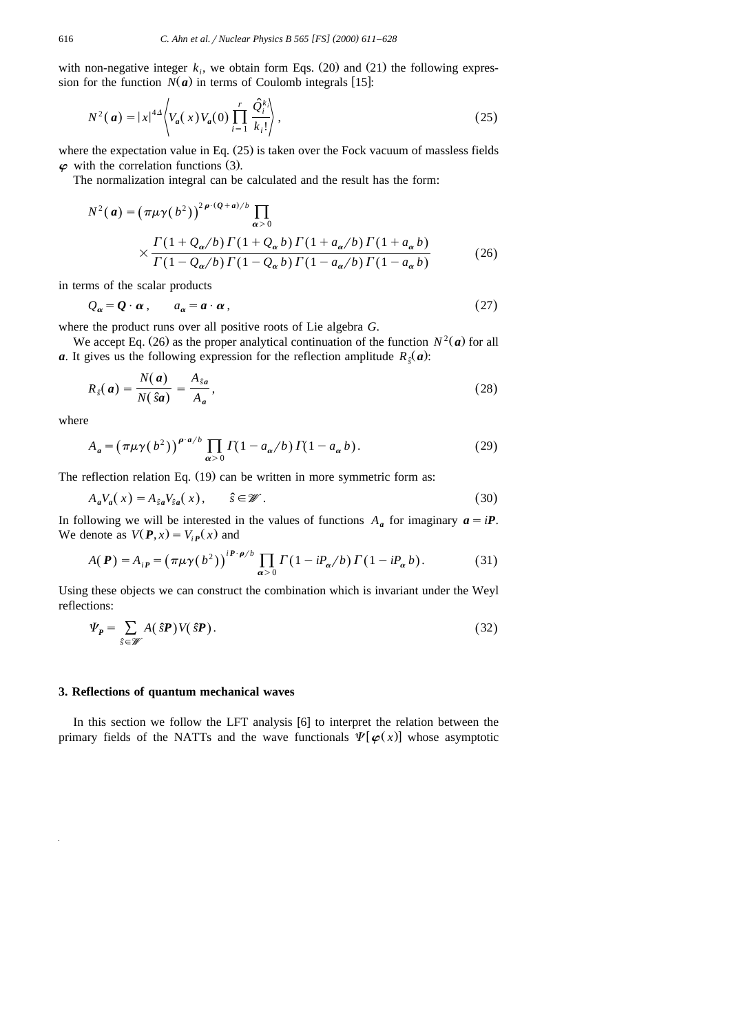with non-negative integer  $k_i$ , we obtain form Eqs. (20) and (21) the following expression for the function  $N(a)$  in terms of Coulomb integrals [15]:

$$
N^{2}(\mathbf{a}) = |x|^{4\Delta} \left\langle V_{\mathbf{a}}(x) V_{\mathbf{a}}(0) \prod_{i=1}^{r} \frac{\hat{Q}_{i}^{k_{i}}}{k_{i}!} \right\rangle,
$$
\n(25)

where the expectation value in Eq.  $(25)$  is taken over the Fock vacuum of massless fields  $\varphi$  with the correlation functions (3).

The normalization integral can be calculated and the result has the form:

$$
N^{2}(a) = \left(\pi\mu\gamma(b^{2})\right)^{2\rho \cdot (Q+a)/b} \prod_{\alpha>0}
$$
  
 
$$
\times \frac{\Gamma(1+Q_{\alpha}/b)\Gamma(1+Q_{\alpha}b)\Gamma(1+a_{\alpha}/b)\Gamma(1+a_{\alpha}b)}{\Gamma(1-Q_{\alpha}/b)\Gamma(1-Q_{\alpha}b)\Gamma(1-a_{\alpha}/b)\Gamma(1-a_{\alpha}b)}
$$
(26)

in terms of the scalar products

$$
Q_{\alpha} = \mathbf{Q} \cdot \boldsymbol{\alpha} \,, \qquad a_{\alpha} = \boldsymbol{a} \cdot \boldsymbol{\alpha} \,, \tag{27}
$$

where the product runs over all positive roots of Lie algebra *G*.

We accept Eq. (26) as the proper analytical continuation of the function  $N^2(a)$  for all *a*. It gives us the following expression for the reflection amplitude  $R_{\hat{g}}(a)$ :

$$
R_{\hat{s}}(a) = \frac{N(a)}{N(\hat{s}a)} = \frac{A_{\hat{s}a}}{A_a},\tag{28}
$$

where

$$
A_a = \left(\pi\mu\gamma(b^2)\right)^{\rho \cdot a/b} \prod_{\alpha > 0} \Gamma(1 - a_\alpha/b) \Gamma(1 - a_\alpha b). \tag{29}
$$

The reflection relation Eq.  $(19)$  can be written in more symmetric form as:

$$
A_a V_a(x) = A_{sa} V_{sa}(x), \qquad \hat{s} \in \mathcal{W}.
$$
 (30)

In following we will be interested in the values of functions  $A_a$  for imaginary  $a = iP$ . We denote as  $V(P, x) = V_{ip}(x)$  and

$$
A(\boldsymbol{P}) = A_{i\boldsymbol{P}} = \left(\pi\mu\gamma(b^2)\right)^{i\boldsymbol{P}\cdot\boldsymbol{\rho}/b} \prod_{\alpha>0} \Gamma(1 - iP_{\alpha}/b) \Gamma(1 - iP_{\alpha}b). \tag{31}
$$

Using these objects we can construct the combination which is invariant under the Weyl reflections:

$$
\Psi_{P} = \sum_{\hat{s} \in \mathscr{W}} A(\hat{s}P) V(\hat{s}P). \tag{32}
$$

## **3. Reflections of quantum mechanical waves**

In this section we follow the LFT analysis  $[6]$  to interpret the relation between the primary fields of the NATTs and the wave functionals  $\Psi[\varphi(x)]$  whose asymptotic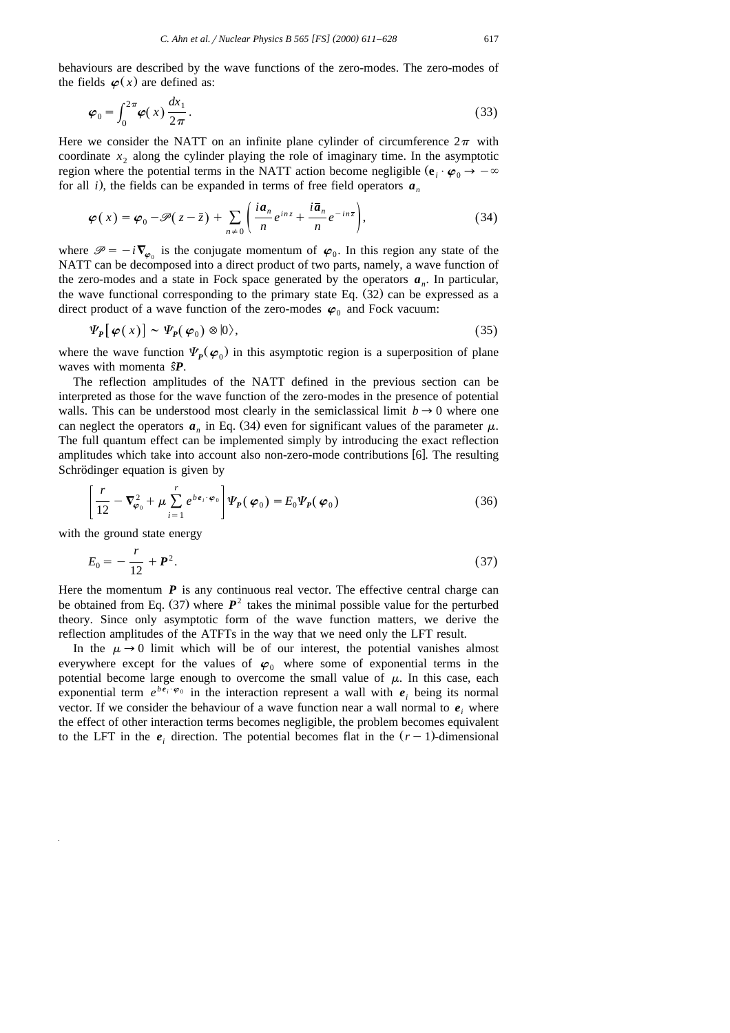$$
\boldsymbol{\varphi}_0 = \int_0^{2\pi} \boldsymbol{\varphi}(x) \frac{dx_1}{2\pi}.
$$
\n(33)

Here we consider the NATT on an infinite plane cylinder of circumference  $2\pi$  with coordinate  $x_2$  along the cylinder playing the role of imaginary time. In the asymptotic region where the potential terms in the NATT action become negligible  $(\mathbf{e}_i \cdot \boldsymbol{\varphi}_0 \rightarrow -\infty)$ for all *i*), the fields can be expanded in terms of free field operators  $a_n$ 

$$
\boldsymbol{\varphi}(x) = \boldsymbol{\varphi}_0 - \boldsymbol{\mathscr{P}}(z - \bar{z}) + \sum_{n \neq 0} \left( \frac{i a_n}{n} e^{i n z} + \frac{i \bar{a}_n}{n} e^{-i n \bar{z}} \right), \tag{34}
$$

where  $\mathcal{P} = -i\nabla_{\varphi}$  is the conjugate momentum of  $\varphi_0$ . In this region any state of the NATT can be decomposed into a direct product of two parts, namely, a wave function of the zero-modes and a state in Fock space generated by the operators  $a_n$ . In particular, the wave functional corresponding to the primary state Eq.  $(32)$  can be expressed as a direct product of a wave function of the zero-modes  $\varphi_0$  and Fock vacuum:

$$
\Psi_{P}[\varphi(x)] \sim \Psi_{P}(\varphi_{0}) \otimes |0\rangle, \qquad (35)
$$

where the wave function  $\Psi_p(\varphi_0)$  in this asymptotic region is a superposition of plane waves with momenta  $\hat{s}P$ .

The reflection amplitudes of the NATT defined in the previous section can be interpreted as those for the wave function of the zero-modes in the presence of potential walls. This can be understood most clearly in the semiclassical limit  $b \rightarrow 0$  where one can neglect the operators  $a_n$  in Eq. (34) even for significant values of the parameter  $\mu$ . The full quantum effect can be implemented simply by introducing the exact reflection amplitudes which take into account also non-zero-mode contributions [6]. The resulting Schrödinger equation is given by

$$
\left[\frac{r}{12} - \nabla_{\boldsymbol{\varphi}_0}^2 + \mu \sum_{i=1}^r e^{b \boldsymbol{e}_i \cdot \boldsymbol{\varphi}_0} \right] \varPsi_P(\boldsymbol{\varphi}_0) = E_0 \varPsi_P(\boldsymbol{\varphi}_0)
$$
\n(36)

with the ground state energy

$$
E_0 = -\frac{r}{12} + \mathbf{P}^2. \tag{37}
$$

Here the momentum  $P$  is any continuous real vector. The effective central charge can be obtained from Eq.  $(37)$  where  $P^2$  takes the minimal possible value for the perturbed theory. Since only asymptotic form of the wave function matters, we derive the reflection amplitudes of the ATFTs in the way that we need only the LFT result.

In the  $\mu \rightarrow 0$  limit which will be of our interest, the potential vanishes almost everywhere except for the values of  $\varphi_0$  where some of exponential terms in the potential become large enough to overcome the small value of  $\mu$ . In this case, each exponential term  $e^{be_i \cdot \varphi_0}$  in the interaction represent a wall with  $e_i$  being its normal vector. If we consider the behaviour of a wave function near a wall normal to  $e_i$ , where the effect of other interaction terms becomes negligible, the problem becomes equivalent to the LFT in the  $e_i$  direction. The potential becomes flat in the  $(r-1)$ -dimensional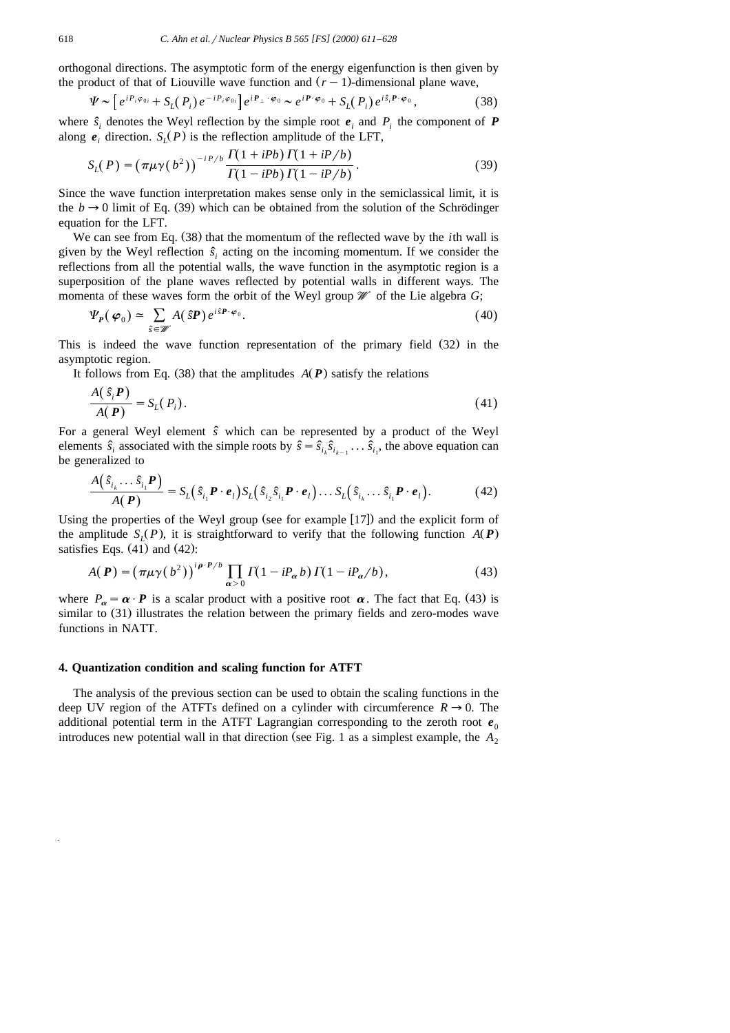orthogonal directions. The asymptotic form of the energy eigenfunction is then given by the product of that of Liouville wave function and  $(r - 1)$ -dimensional plane wave,

$$
\Psi \sim \left[ e^{i P_i \varphi_{0i}} + S_L(P_i) e^{-i P_i \varphi_{0i}} \right] e^{i P_\perp \cdot \varphi_0} \sim e^{i P \cdot \varphi_0} + S_L(P_i) e^{i \hat{s}_i P \cdot \varphi_0}, \tag{38}
$$

where  $\hat{s}_i$  denotes the Weyl reflection by the simple root  $e_i$  and  $P_i$  the component of  $P$ along  $e_i$  direction.  $S_i(P)$  is the reflection amplitude of the LFT,

$$
S_L(P) = \left(\pi \mu \gamma(b^2)\right)^{-i P/b} \frac{\Gamma(1 + i Pb) \Gamma(1 + i P/b)}{\Gamma(1 - i Pb) \Gamma(1 - i P/b)}.
$$
\n(39)

Since the wave function interpretation makes sense only in the semiclassical limit, it is the  $b \rightarrow 0$  limit of Eq. (39) which can be obtained from the solution of the Schrödinger equation for the LFT.

We can see from Eq. (38) that the momentum of the reflected wave by the *i*th wall is given by the Weyl reflection  $\hat{s}$ , acting on the incoming momentum. If we consider the reflections from all the potential walls, the wave function in the asymptotic region is a superposition of the plane waves reflected by potential walls in different ways. The momenta of these waves form the orbit of the Weyl group  $\mathcal W$  of the Lie algebra *G*;

$$
\Psi_{P}(\varphi_{0}) \simeq \sum_{\hat{s} \in \mathscr{W}} A(\hat{s}P) e^{i\hat{s}P \cdot \varphi_{0}}.
$$
\n(40)

This is indeed the wave function representation of the primary field  $(32)$  in the asymptotic region.

It follows from Eq. (38) that the amplitudes  $A(P)$  satisfy the relations

$$
\frac{A(\hat{s}_i P)}{A(P)} = S_L(P_i). \tag{41}
$$

For a general Weyl element *s*ˆ which can be represented by a product of the Weyl elements  $\hat{s}_i$  associated with the simple roots by  $\hat{s} = \hat{s}_{i_k}\hat{s}_{i_{k-1}}\dots\hat{s}_{i_k}$ , the above equation can be generalized to

$$
\frac{A(\hat{s}_{i_k}\dots\hat{s}_{i_1}\boldsymbol{P})}{A(\boldsymbol{P})}=S_L(\hat{s}_{i_1}\boldsymbol{P}\cdot\boldsymbol{e}_l)S_L(\hat{s}_{i_2}\hat{s}_{i_1}\boldsymbol{P}\cdot\boldsymbol{e}_l)\dots S_L(\hat{s}_{i_k}\dots\hat{s}_{i_1}\boldsymbol{P}\cdot\boldsymbol{e}_l).
$$
(42)

Using the properties of the Weyl group (see for example  $[17]$ ) and the explicit form of the amplitude  $S_l(P)$ , it is straightforward to verify that the following function  $A(P)$ satisfies Eqs.  $(41)$  and  $(42)$ :

$$
A(P) = \left(\pi\mu\gamma(b^2)\right)^{i\rho\cdot P/b} \prod_{\alpha>0} \Gamma(1 - iP_\alpha b) \Gamma(1 - iP_\alpha/b),\tag{43}
$$

where  $P_{\alpha} = \alpha \cdot P$  is a scalar product with a positive root  $\alpha$ . The fact that Eq. (43) is similar to  $(31)$  illustrates the relation between the primary fields and zero-modes wave functions in NATT.

#### **4. Quantization condition and scaling function for ATFT**

The analysis of the previous section can be used to obtain the scaling functions in the deep UV region of the ATFTs defined on a cylinder with circumference  $R \rightarrow 0$ . The additional potential term in the ATFT Lagrangian corresponding to the zeroth root  $e_0$ introduces new potential wall in that direction (see Fig. 1 as a simplest example, the  $A_2$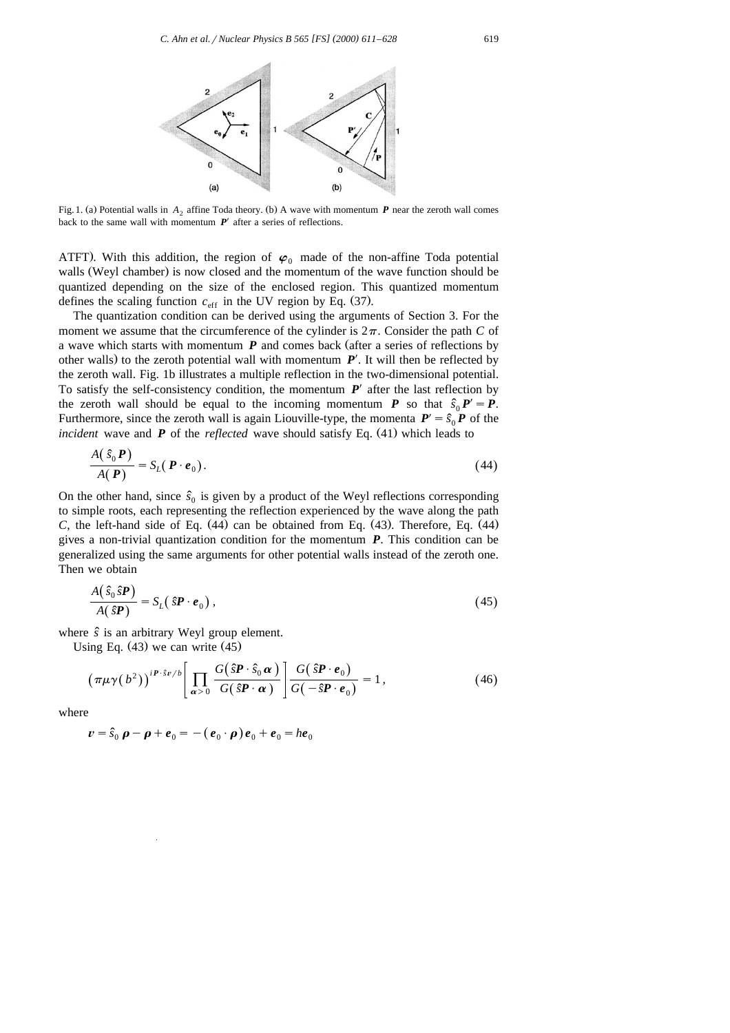

Fig. 1. (a) Potential walls in  $A_2$  affine Toda theory. (b) A wave with momentum *P* near the zeroth wall comes back to the same wall with momentum  $P'$  after a series of reflections.

ATFT). With this addition, the region of  $\varphi_0$  made of the non-affine Toda potential walls (Weyl chamber) is now closed and the momentum of the wave function should be quantized depending on the size of the enclosed region. This quantized momentum defines the scaling function  $c_{\text{eff}}$  in the UV region by Eq. (37).

The quantization condition can be derived using the arguments of Section 3. For the moment we assume that the circumference of the cylinder is  $2\pi$ . Consider the path *C* of a wave which starts with momentum  $P$  and comes back (after a series of reflections by other walls) to the zeroth potential wall with momentum  $P'$ . It will then be reflected by the zeroth wall. Fig. 1b illustrates a multiple reflection in the two-dimensional potential. To satisfy the self-consistency condition, the momentum  $P'$  after the last reflection by the zeroth wall should be equal to the incoming momentum *P* so that  $\hat{s}_0 P' = P$ . Furthermore, since the zeroth wall is again Liouville-type, the momenta  $P' = \hat{s}_0 \vec{P}$  of the *incident* wave and  $\vec{P}$  of the *reflected* wave should satisfy Eq. (41) which leads to

$$
\frac{A(\hat{s}_0 P)}{A(P)} = S_L(P \cdot e_0). \tag{44}
$$

On the other hand, since  $\hat{s}_0$  is given by a product of the Weyl reflections corresponding to simple roots, each representing the reflection experienced by the wave along the path *C*, the left-hand side of Eq.  $(44)$  can be obtained from Eq.  $(43)$ . Therefore, Eq.  $(44)$ gives a non-trivial quantization condition for the momentum *P*. This condition can be generalized using the same arguments for other potential walls instead of the zeroth one. Then we obtain

$$
\frac{A(\hat{s}_0 \hat{s} \boldsymbol{P})}{A(\hat{s} \boldsymbol{P})} = S_L(\hat{s} \boldsymbol{P} \cdot \boldsymbol{e}_0),
$$
\n(45)

where  $\hat{s}$  is an arbitrary Weyl group element.

Using Eq.  $(43)$  we can write  $(45)$ 

$$
\left(\pi\mu\gamma(b^2)\right)^{\mathrm{i}P\cdot\hat{s}\nu/b} \left[\prod_{\alpha>0} \frac{G(\hat{s}P\cdot\hat{s}_0 \alpha)}{G(\hat{s}P\cdot\alpha)}\right] \frac{G(\hat{s}P\cdot e_0)}{G(-\hat{s}P\cdot e_0)} = 1,\tag{46}
$$

where

$$
\boldsymbol{v} = \hat{s}_0 \, \boldsymbol{\rho} - \boldsymbol{\rho} + \boldsymbol{e}_0 = -(\boldsymbol{e}_0 \cdot \boldsymbol{\rho}) \boldsymbol{e}_0 + \boldsymbol{e}_0 = h \boldsymbol{e}_0
$$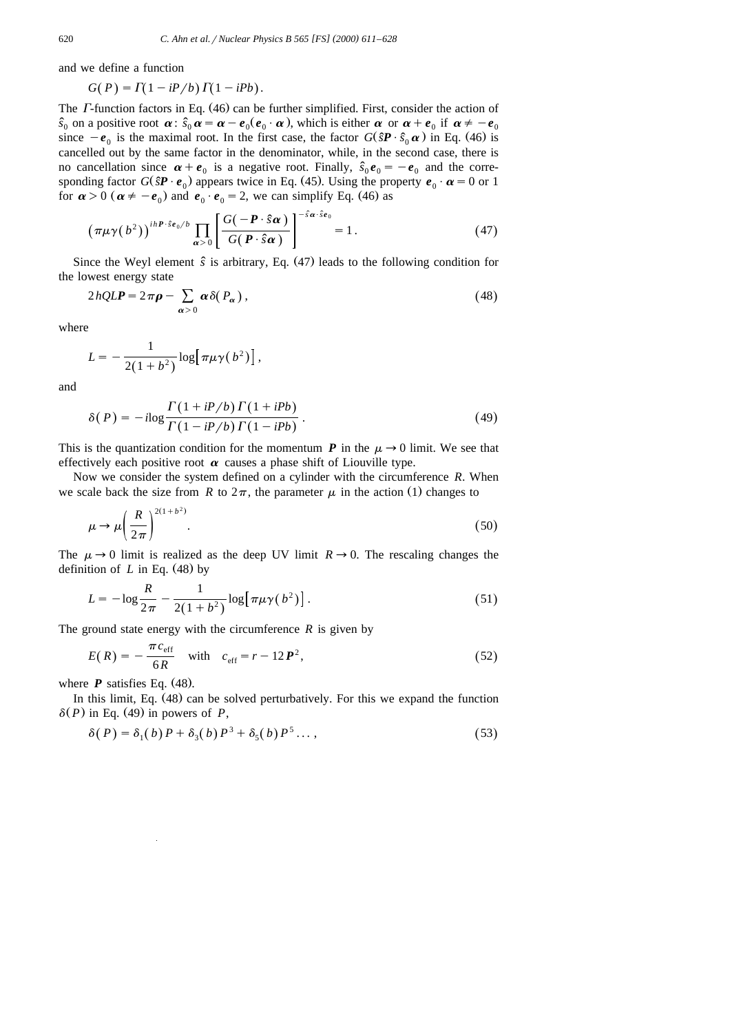and we define a function

$$
G(P) = \Gamma(1 - iP/b) \Gamma(1 - iPb).
$$

The  $\Gamma$ -function factors in Eq. (46) can be further simplified. First, consider the action of  $\hat{s}_0$  on a positive root  $\alpha$ :  $\hat{s}_0 \alpha = \alpha - e_0(e_0 \cdot \alpha)$ , which is either  $\alpha$  or  $\alpha + e_0$  if  $\alpha \neq -e_0$ since  $-e_0$  is the maximal root. In the first case, the factor  $G(\hat{s}P \cdot \hat{s}_0 \alpha)$  in Eq. (46) is cancelled out by the same factor in the denominator, while, in the second case, there is no cancellation since  $\alpha + e_0$  is a negative root. Finally,  $\hat{s}_0 e_0 = -e_0$  and the corresponding factor  $G(\hat{s}P \cdot e_0)$  appears twice in Eq. (45). Using the property  $e_0 \cdot \alpha = 0$  or 1 for  $\alpha > 0$  ( $\alpha \neq -e_0$ ) and  $e_0 \cdot e_0 = 2$ , we can simplify Eq. (46) as

$$
\left(\pi\mu\gamma(b^2)\right)^{ihP\cdot\hat{s}e_0/b}\prod_{\alpha>0}\left[\frac{G(-P\cdot\hat{s}\alpha)}{G(P\cdot\hat{s}\alpha)}\right]^{-\hat{s}\alpha\cdot\hat{s}e_0}=1.
$$
 (47)

Since the Weyl element  $\hat{s}$  is arbitrary, Eq.  $(47)$  leads to the following condition for the lowest energy state

$$
2hQLP = 2\pi \rho - \sum_{\alpha > 0} \alpha \delta(P_{\alpha}), \qquad (48)
$$

where

$$
L = -\frac{1}{2(1+b^2)}\log[\pi\mu\gamma(b^2)]\,,
$$

and

$$
\delta(P) = -i\log\frac{\Gamma(1+iP/b)\Gamma(1+iPb)}{\Gamma(1-iP/b)\Gamma(1-iPb)}.
$$
\n(49)

This is the quantization condition for the momentum *P* in the  $\mu \rightarrow 0$  limit. We see that effectively each positive root  $\alpha$  causes a phase shift of Liouville type.

Now we consider the system defined on a cylinder with the circumference *R*. When we scale back the size from *R* to  $2\pi$ , the parameter  $\mu$  in the action (1) changes to

$$
\mu \to \mu \left(\frac{R}{2\pi}\right)^{2(1+b^2)}.\tag{50}
$$

The  $\mu \rightarrow 0$  limit is realized as the deep UV limit  $R \rightarrow 0$ . The rescaling changes the definition of  $L$  in Eq.  $(48)$  by

$$
L = -\log \frac{R}{2\pi} - \frac{1}{2(1+b^2)} \log [\pi \mu \gamma(b^2)].
$$
\n(51)

The ground state energy with the circumference *R* is given by

$$
E(R) = -\frac{\pi c_{\text{eff}}}{6R} \quad \text{with} \quad c_{\text{eff}} = r - 12P^2,
$$
\n(52)

where  $P$  satisfies Eq. (48).

In this limit, Eq. (48) can be solved perturbatively. For this we expand the function  $\delta(P)$  in Eq. (49) in powers of *P*,

$$
\delta(P) = \delta_1(b)P + \delta_3(b)P^3 + \delta_5(b)P^5 \dots,
$$
\n(53)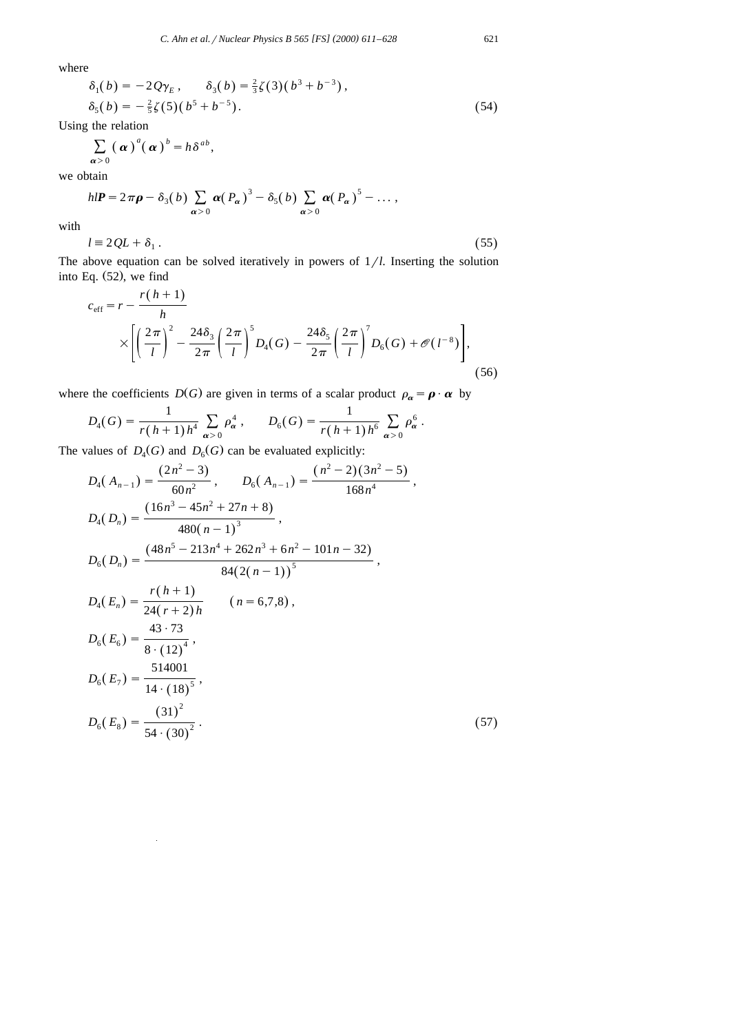where

$$
\delta_1(b) = -2Q\gamma_E, \quad \delta_3(b) = \frac{2}{3}\zeta(3)(b^3 + b^{-3}), \n\delta_5(b) = -\frac{2}{5}\zeta(5)(b^5 + b^{-5}).
$$
\n(54)

Using the relation

$$
\sum_{\boldsymbol{\alpha} > 0} \left( \boldsymbol{\alpha} \right)^a \left( \boldsymbol{\alpha} \right)^b = h \delta^{ab},
$$

we obtain

$$
hIP = 2\pi \rho - \delta_3(b) \sum_{\alpha > 0} \alpha(P_\alpha)^3 - \delta_5(b) \sum_{\alpha > 0} \alpha(P_\alpha)^5 - \dots,
$$

with

$$
l \equiv 2QL + \delta_1 \,. \tag{55}
$$

The above equation can be solved iteratively in powers of  $1/l$ . Inserting the solution into Eq.  $(52)$ , we find

$$
c_{\rm eff} = r - \frac{r(h+1)}{h}
$$
  
 
$$
\times \left[ \left( \frac{2\pi}{l} \right)^2 - \frac{24\delta_3}{2\pi} \left( \frac{2\pi}{l} \right)^5 D_4(G) - \frac{24\delta_5}{2\pi} \left( \frac{2\pi}{l} \right)^7 D_6(G) + \mathcal{O}(l^{-8}) \right],
$$
 (56)

where the coefficients  $D(G)$  are given in terms of a scalar product  $\rho_{\alpha} = \rho \cdot \alpha$  by

$$
D_4(G) = \frac{1}{r(h+1)h^4} \sum_{\alpha > 0} \rho_\alpha^4 , \qquad D_6(G) = \frac{1}{r(h+1)h^6} \sum_{\alpha > 0} \rho_\alpha^6 .
$$

The values of  $D_4(G)$  and  $D_6(G)$  can be evaluated explicitly:

$$
D_{4}(A_{n-1}) = \frac{(2n^{2}-3)}{60n^{2}}, \qquad D_{6}(A_{n-1}) = \frac{(n^{2}-2)(3n^{2}-5)}{168n^{4}},
$$
  
\n
$$
D_{4}(D_{n}) = \frac{(16n^{3}-45n^{2}+27n+8)}{480(n-1)^{3}},
$$
  
\n
$$
D_{6}(D_{n}) = \frac{(48n^{5}-213n^{4}+262n^{3}+6n^{2}-101n-32)}{84(2(n-1))^{5}},
$$
  
\n
$$
D_{4}(E_{n}) = \frac{r(h+1)}{24(r+2)h} \qquad (n=6,7,8),
$$
  
\n
$$
D_{6}(E_{6}) = \frac{43\cdot73}{8\cdot(12)^{4}},
$$
  
\n
$$
D_{6}(E_{7}) = \frac{514001}{14\cdot(18)^{5}},
$$
  
\n
$$
D_{6}(E_{8}) = \frac{(31)^{2}}{54\cdot(30)^{2}}.
$$
  
\n(57)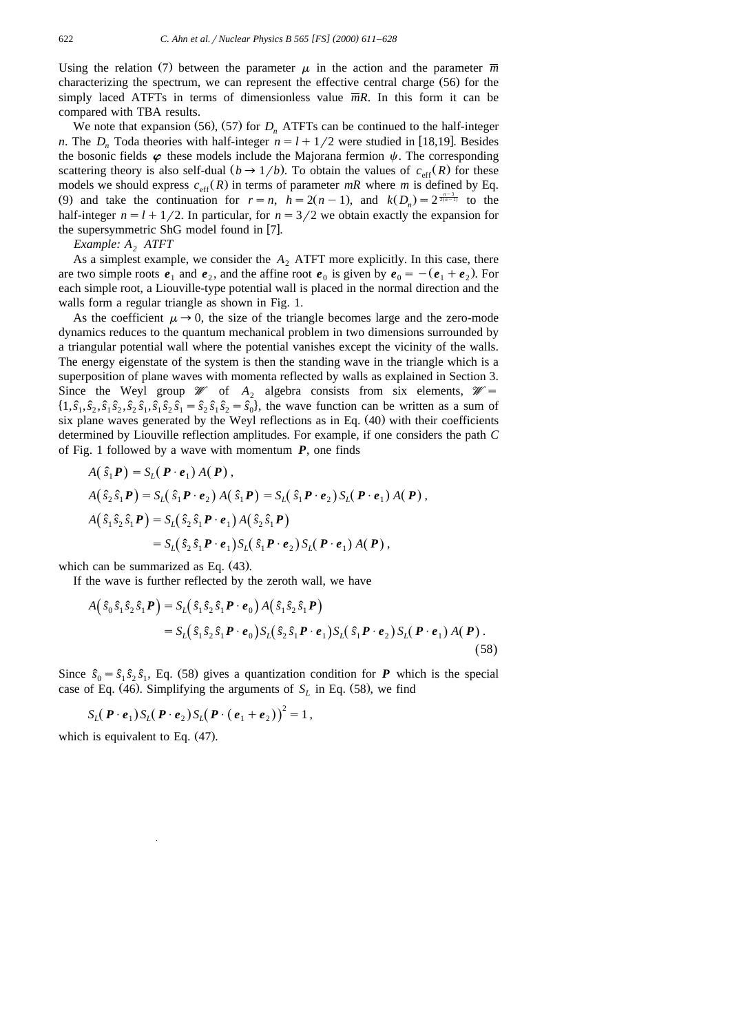Using the relation (7) between the parameter  $\mu$  in the action and the parameter  $\overline{m}$ characterizing the spectrum, we can represent the effective central charge  $(56)$  for the simply laced ATFTs in terms of dimensionless value  $\overline{m}R$ . In this form it can be compared with TBA results.

We note that expansion (56), (57) for  $D_n$  ATFTs can be continued to the half-integer *n*. The *D*<sub>*n*</sub> Toda theories with half-integer  $n = l + 1/2$  were studied in [18,19]. Besides the bosonic fields  $\varphi$  these models include the Majorana fermion  $\psi$ . The corresponding scattering theory is also self-dual  $(b \rightarrow 1/b)$ . To obtain the values of  $c_{\text{eff}}(R)$  for these models we should express  $c_{\text{eff}}(R)$  in terms of parameter  $mR$  where m is defined by Eq. (9) and take the continuation for  $r = n$ ,  $h = 2(n - 1)$ , and  $k(D_n) = 2^{\frac{n-3}{2(n-1)}}$  to the half-integer  $n = l + 1/2$ . In particular, for  $n = 3/2$  we obtain exactly the expansion for the supersymmetric ShG model found in  $[7]$ .

*Example: A, ATFT* 

As a simplest example, we consider the  $A_2$ , ATFT more explicitly. In this case, there are two simple roots  $e_1$  and  $e_2$ , and the affine root  $e_0$  is given by  $e_0 = -(e_1 + e_2)$ . For each simple root, a Liouville-type potential wall is placed in the normal direction and the walls form a regular triangle as shown in Fig. 1.

As the coefficient  $\mu \rightarrow 0$ , the size of the triangle becomes large and the zero-mode dynamics reduces to the quantum mechanical problem in two dimensions surrounded by a triangular potential wall where the potential vanishes except the vicinity of the walls. The energy eigenstate of the system is then the standing wave in the triangle which is a superposition of plane waves with momenta reflected by walls as explained in Section 3. Since the Weyl group  $W$  of  $A_2$  algebra consists from six elements,  $W =$  $\{1, \hat{s}_1, \hat{s}_2, \hat{s}_1, \hat{s}_2, \hat{s}_1, \hat{s}_1, \hat{s}_2, \hat{s}_1 = \hat{s}_2, \hat{s}_1, \hat{s}_2 = \hat{s}_0\}$ , the wave function can be written as a sum of six plane waves generated by the Weyl reflections as in Eq.  $(40)$  with their coefficients determined by Liouville reflection amplitudes. For example, if one considers the path *C* of Fig. 1 followed by a wave with momentum *P*, one finds

$$
A(\hat{s}_1 P) = S_L(P \cdot e_1) A(P),
$$
  
\n
$$
A(\hat{s}_2 \hat{s}_1 P) = S_L(\hat{s}_1 P \cdot e_2) A(\hat{s}_1 P) = S_L(\hat{s}_1 P \cdot e_2) S_L(P \cdot e_1) A(P),
$$
  
\n
$$
A(\hat{s}_1 \hat{s}_2 \hat{s}_1 P) = S_L(\hat{s}_2 \hat{s}_1 P \cdot e_1) A(\hat{s}_2 \hat{s}_1 P)
$$
  
\n
$$
= S_L(\hat{s}_2 \hat{s}_1 P \cdot e_1) S_L(\hat{s}_1 P \cdot e_2) S_L(P \cdot e_1) A(P),
$$

which can be summarized as Eq.  $(43)$ .

If the wave is further reflected by the zeroth wall, we have

$$
A(\hat{s}_0\hat{s}_1\hat{s}_2\hat{s}_1\boldsymbol{P}) = S_L(\hat{s}_1\hat{s}_2\hat{s}_1\boldsymbol{P}\cdot\boldsymbol{e}_0)A(\hat{s}_1\hat{s}_2\hat{s}_1\boldsymbol{P})
$$
  
= 
$$
S_L(\hat{s}_1\hat{s}_2\hat{s}_1\boldsymbol{P}\cdot\boldsymbol{e}_0)S_L(\hat{s}_2\hat{s}_1\boldsymbol{P}\cdot\boldsymbol{e}_1)S_L(\hat{s}_1\boldsymbol{P}\cdot\boldsymbol{e}_2)S_L(\boldsymbol{P}\cdot\boldsymbol{e}_1)A(\boldsymbol{P})
$$
. (58)

Since  $\hat{s}_0 = \hat{s}_1 \hat{s}_2 \hat{s}_1$ , Eq. (58) gives a quantization condition for **P** which is the special case of Eq. (46). Simplifying the arguments of  $S_L$  in Eq. (58), we find

$$
S_L(\boldsymbol{P} \cdot \boldsymbol{e}_1) S_L(\boldsymbol{P} \cdot \boldsymbol{e}_2) S_L(\boldsymbol{P} \cdot (\boldsymbol{e}_1 + \boldsymbol{e}_2))^2 = 1,
$$

which is equivalent to Eq.  $(47)$ .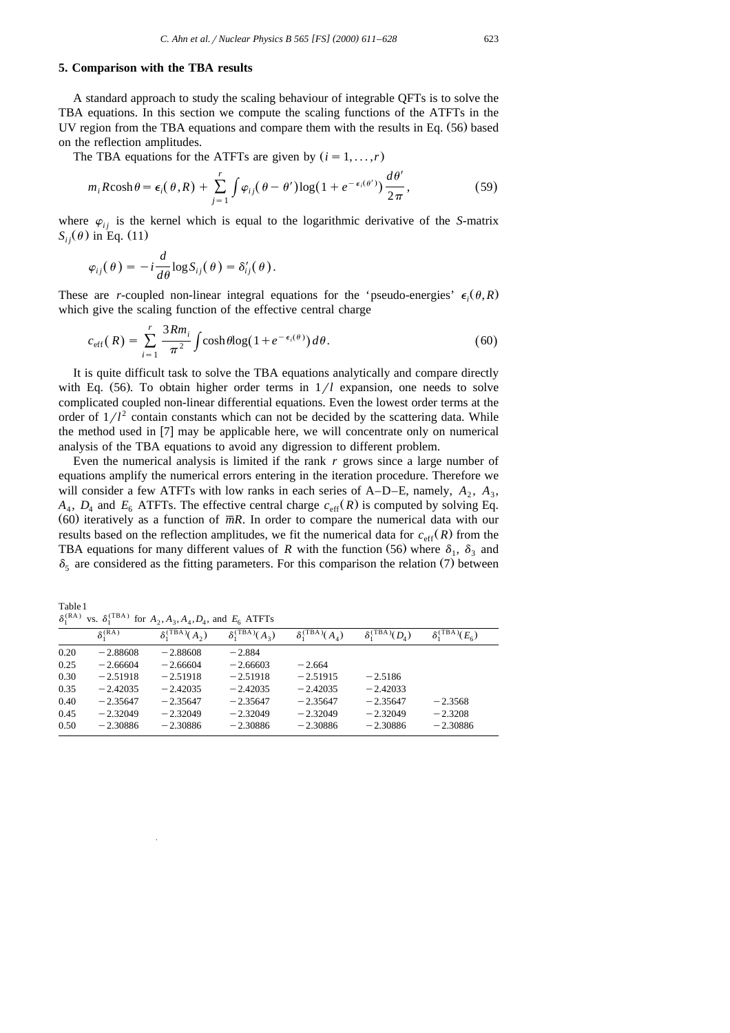#### **5. Comparison with the TBA results**

A standard approach to study the scaling behaviour of integrable QFTs is to solve the TBA equations. In this section we compute the scaling functions of the ATFTs in the UV region from the TBA equations and compare them with the results in Eq.  $(56)$  based on the reflection amplitudes.

The TBA equations for the ATFTs are given by  $(i = 1, \ldots, r)$ 

$$
m_i R \cosh \theta = \epsilon_i(\theta, R) + \sum_{j=1}^r \int \varphi_{ij}(\theta - \theta') \log(1 + e^{-\epsilon_i(\theta')}) \frac{d\theta'}{2\pi},
$$
\n(59)

where  $\varphi_{ij}$  is the kernel which is equal to the logarithmic derivative of the *S*-matrix  $S_{ij}(\theta)$  in Eq. (11)

$$
\varphi_{ij}(\theta) = -i\frac{d}{d\theta}\log S_{ij}(\theta) = \delta'_{ij}(\theta).
$$

These are *r*-coupled non-linear integral equations for the 'pseudo-energies'  $\epsilon_i(\theta, R)$ which give the scaling function of the effective central charge

$$
c_{\rm eff}(R) = \sum_{i=1}^{r} \frac{3Rm_i}{\pi^2} \int \cosh\theta \log(1 + e^{-\epsilon_i(\theta)}) \, d\theta. \tag{60}
$$

It is quite difficult task to solve the TBA equations analytically and compare directly with Eq.  $(56)$ . To obtain higher order terms in  $1/l$  expansion, one needs to solve complicated coupled non-linear differential equations. Even the lowest order terms at the order of  $1/l^2$  contain constants which can not be decided by the scattering data. While the method used in  $[7]$  may be applicable here, we will concentrate only on numerical analysis of the TBA equations to avoid any digression to different problem.

Even the numerical analysis is limited if the rank *r* grows since a large number of equations amplify the numerical errors entering in the iteration procedure. Therefore we will consider a few ATFTs with low ranks in each series of  $A-D-E$ , namely,  $A_2$ ,  $A_3$ ,  $A_4$ ,  $D_4$  and  $E_6$  ATFTs. The effective central charge  $c_{\text{eff}}(R)$  is computed by solving Eq. (60) iteratively as a function of  $\overline{m}R$ . In order to compare the numerical data with our results based on the reflection amplitudes, we fit the numerical data for  $c_{\text{eff}}(R)$  from the TBA equations for many different values of *R* with the function (56) where  $\delta_1$ ,  $\delta_3$  and  $\delta_5$  are considered as the fitting parameters. For this comparison the relation (7) between

Table1  $\delta_i^{(RA)}$  vs.  $\delta_i^{(TBA)}$  for  $A_2, A_3, A_4, D_4$  and  $E_c$  ATFTs

|      | $\delta^{\rm (RA)}_1$ | $\delta_1^{\text{(TBA)}}(A_2)$ | $\delta_1^{\text{(TBA)}}(A_2)$ | $\delta_1^{\text{(TBA)}}(A_4)$ | $\delta_1^{\rm (TBA)}(D_4)$ | $\delta_1^{\text{(TBA)}}(E_6)$ |  |  |
|------|-----------------------|--------------------------------|--------------------------------|--------------------------------|-----------------------------|--------------------------------|--|--|
| 0.20 | $-2.88608$            | $-2.88608$                     | $-2.884$                       |                                |                             |                                |  |  |
| 0.25 | $-2.66604$            | $-2.66604$                     | $-2.66603$                     | $-2.664$                       |                             |                                |  |  |
| 0.30 | $-2.51918$            | $-2.51918$                     | $-2.51918$                     | $-2.51915$                     | $-2.5186$                   |                                |  |  |
| 0.35 | $-2.42035$            | $-2.42035$                     | $-2.42035$                     | $-2.42035$                     | $-2.42033$                  |                                |  |  |
| 0.40 | $-2.35647$            | $-2.35647$                     | $-2.35647$                     | $-2.35647$                     | $-2.35647$                  | $-2.3568$                      |  |  |
| 0.45 | $-2.32049$            | $-2.32049$                     | $-2.32049$                     | $-2.32049$                     | $-2.32049$                  | $-2.3208$                      |  |  |
| 0.50 | $-2.30886$            | $-2.30886$                     | $-2.30886$                     | $-2.30886$                     | $-2.30886$                  | $-2.30886$                     |  |  |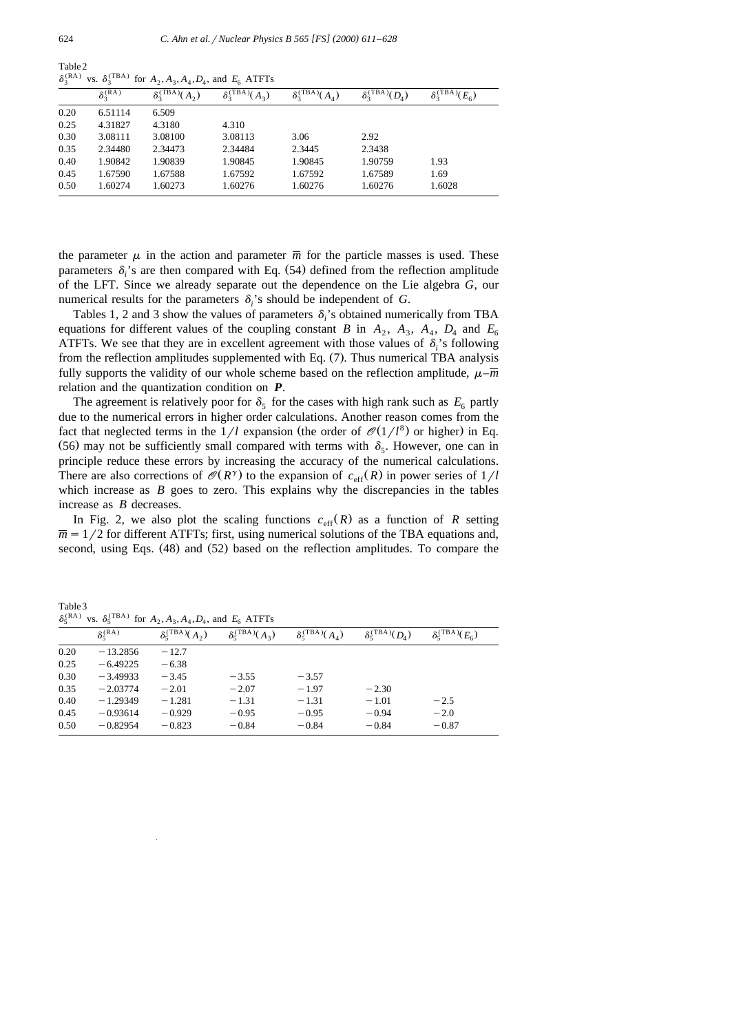|      | $\delta_2^{(RA)}$ | $\delta_3^{\text{(TBA)}}(A_2)$ | $\delta_3^{\text{(TBA)}}(A_3)$ | $\delta_3^{\text{(TBA)}}(A_4)$ | $\delta_3^{\text{(TBA)}}(D_4)$ | $\delta_3^{\text{(TBA)}}(E_6)$ |
|------|-------------------|--------------------------------|--------------------------------|--------------------------------|--------------------------------|--------------------------------|
| 0.20 | 6.51114           | 6.509                          |                                |                                |                                |                                |
| 0.25 | 4.31827           | 4.3180                         | 4.310                          |                                |                                |                                |
| 0.30 | 3.08111           | 3.08100                        | 3.08113                        | 3.06                           | 2.92                           |                                |
| 0.35 | 2.34480           | 2.34473                        | 2.34484                        | 2.3445                         | 2.3438                         |                                |
| 0.40 | 1.90842           | 1.90839                        | 1.90845                        | 1.90845                        | 1.90759                        | 1.93                           |
| 0.45 | 1.67590           | 1.67588                        | 1.67592                        | 1.67592                        | 1.67589                        | 1.69                           |
| 0.50 | 1.60274           | 1.60273                        | 1.60276                        | 1.60276                        | 1.60276                        | 1.6028                         |

Table2  $\delta_2^{(RA)}$  vs.  $\delta_3^{(TBA)}$  for  $A_2, A_3, A_4, D_4$ , and  $E_6$  ATFTs

the parameter  $\mu$  in the action and parameter  $\overline{m}$  for the particle masses is used. These parameters  $\delta_i$ 's are then compared with Eq. (54) defined from the reflection amplitude of the LFT. Since we already separate out the dependence on the Lie algebra *G*, our numerical results for the parameters  $\delta$  's should be independent of *G*.

Tables 1, 2 and 3 show the values of parameters  $\delta_i$ 's obtained numerically from TBA equations for different values of the coupling constant *B* in  $A_2$ ,  $A_3$ ,  $A_4$ ,  $D_4$  and  $E_6$ ATFTs. We see that they are in excellent agreement with those values of  $\delta_i$ 's following from the reflection amplitudes supplemented with Eq.  $(7)$ . Thus numerical TBA analysis fully supports the validity of our whole scheme based on the reflection amplitude,  $\mu$ – $\overline{m}$ relation and the quantization condition on *P*.

The agreement is relatively poor for  $\delta_5$  for the cases with high rank such as  $E_6$  partly due to the numerical errors in higher order calculations. Another reason comes from the fact that neglected terms in the  $1/l$  expansion (the order of  $\mathcal{O}(1/l^8)$  or higher) in Eq. (56) may not be sufficiently small compared with terms with  $\delta_{\varsigma}$ . However, one can in principle reduce these errors by increasing the accuracy of the numerical calculations. There are also corrections of  $\mathcal{O}(R^{\gamma})$  to the expansion of  $c_{\text{eff}}(R)$  in power series of  $1/l$ which increase as  $B$  goes to zero. This explains why the discrepancies in the tables increase as *B* decreases.

In Fig. 2, we also plot the scaling functions  $c_{\text{eff}}(R)$  as a function of R setting  $\overline{m}$  = 1/2 for different ATFTs; first, using numerical solutions of the TBA equations and, second, using Eqs.  $(48)$  and  $(52)$  based on the reflection amplitudes. To compare the

Table3  $\delta_{\epsilon}^{(RA)}$  vs.  $\delta_{\epsilon}^{(TBA)}$  for  $A_2, A_3, A_4, D_4$ , and  $E_6$  ATFTs

| $\sim$<br>$\cdots$<br>$101.11$ , $11.11.11$ , $11.11.11$ |                                |                                    |                                  |                               |                                 |                             |
|----------------------------------------------------------|--------------------------------|------------------------------------|----------------------------------|-------------------------------|---------------------------------|-----------------------------|
|                                                          | $\delta_{\epsilon}^{\rm (RA)}$ | $\delta_{5}^{\text{(TBA)}}(A_{2})$ | $\delta_{5}^{\text{(TBA)}}(A_3)$ | $\delta_{5}^{\rm (TBA)}(A_4)$ | $\delta_{5}^{\rm (TBA)}(D_{4})$ | $\delta_5^{\rm (TBA)}(E_6)$ |
| 0.20                                                     | $-13.2856$                     | $-12.7$                            |                                  |                               |                                 |                             |
| 0.25                                                     | $-6.49225$                     | $-6.38$                            |                                  |                               |                                 |                             |
| 0.30                                                     | $-3.49933$                     | $-3.45$                            | $-3.55$                          | $-3.57$                       |                                 |                             |
| 0.35                                                     | $-2.03774$                     | $-2.01$                            | $-2.07$                          | $-1.97$                       | $-2.30$                         |                             |
| 0.40                                                     | $-1.29349$                     | $-1.281$                           | $-1.31$                          | $-1.31$                       | $-1.01$                         | $-2.5$                      |
| 0.45                                                     | $-0.93614$                     | $-0.929$                           | $-0.95$                          | $-0.95$                       | $-0.94$                         | $-2.0$                      |
| 0.50                                                     | $-0.82954$                     | $-0.823$                           | $-0.84$                          | $-0.84$                       | $-0.84$                         | $-0.87$                     |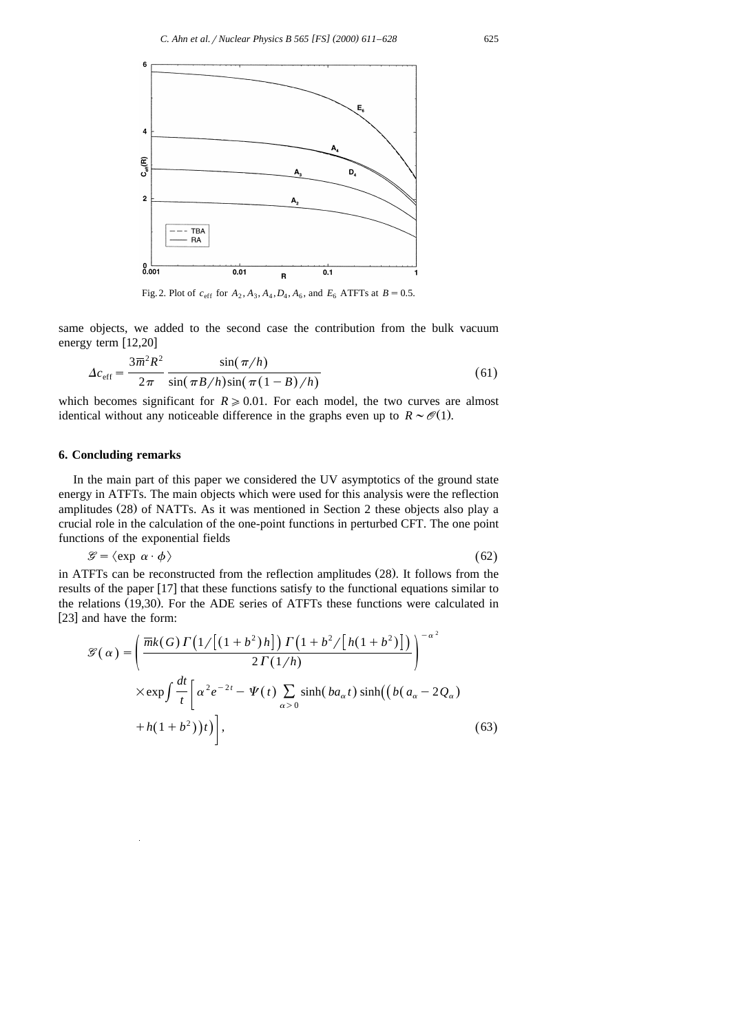

Fig. 2. Plot of  $c_{\text{eff}}$  for  $A_2, A_3, A_4, D_4, A_6$ , and  $E_6$  ATFTs at  $B = 0.5$ .

same objects, we added to the second case the contribution from the bulk vacuum energy term  $[12,20]$ 

$$
\Delta c_{\rm eff} = \frac{3\overline{m}^2 R^2}{2\pi} \frac{\sin(\pi/h)}{\sin(\pi B/h)\sin(\pi(1-B)/h)}
$$
(61)

which becomes significant for  $R \geq 0.01$ . For each model, the two curves are almost identical without any noticeable difference in the graphs even up to  $R \sim \mathcal{O}(1)$ .

# **6. Concluding remarks**

In the main part of this paper we considered the UV asymptotics of the ground state energy in ATFTs. The main objects which were used for this analysis were the reflection amplitudes  $(28)$  of NATTs. As it was mentioned in Section 2 these objects also play a crucial role in the calculation of the one-point functions in perturbed CFT. The one point functions of the exponential fields

$$
\mathcal{G} = \langle \exp \alpha \cdot \phi \rangle \tag{62}
$$

in ATFTs can be reconstructed from the reflection amplitudes (28). It follows from the results of the paper [17] that these functions satisfy to the functional equations similar to the relations (19,30). For the ADE series of ATFTs these functions were calculated in [23] and have the form:

$$
\mathcal{G}(\alpha) = \left(\frac{\overline{mk}(G)\Gamma\left(\frac{1}{\left(1+b^2\right)h}\right)\Gamma\left(\frac{1+b^2}{\left(h(1+b^2)\right)}\right)}{2\Gamma\left(\frac{1}{h}\right)}\right)^{-\alpha^2}
$$

$$
\times \exp\int \frac{dt}{t} \left[\alpha^2 e^{-2t} - \Psi(t) \sum_{\alpha>0} \sinh(ba_{\alpha}t) \sinh((b(a_{\alpha}-2Q_{\alpha}) + h(1+b^2))t)\right],\tag{63}
$$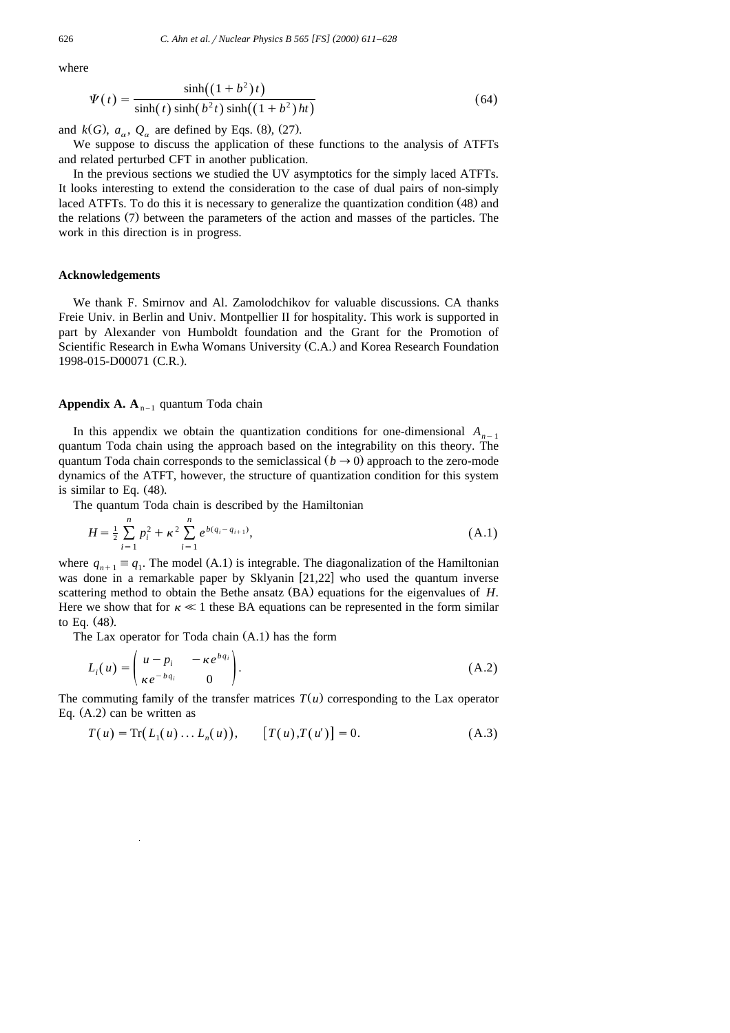where

$$
\Psi(t) = \frac{\sinh((1+b^2)t)}{\sinh(t)\sinh(b^2t)\sinh((1+b^2)ht)}
$$
\n(64)

and  $k(G)$ ,  $a_{\alpha}$ ,  $Q_{\alpha}$  are defined by Eqs. (8), (27).

We suppose to discuss the application of these functions to the analysis of ATFTs and related perturbed CFT in another publication.

In the previous sections we studied the UV asymptotics for the simply laced ATFTs. It looks interesting to extend the consideration to the case of dual pairs of non-simply laced ATFTs. To do this it is necessary to generalize the quantization condition (48) and the relations (7) between the parameters of the action and masses of the particles. The work in this direction is in progress.

#### **Acknowledgements**

We thank F. Smirnov and Al. Zamolodchikov for valuable discussions. CA thanks Freie Univ. in Berlin and Univ. Montpellier II for hospitality. This work is supported in part by Alexander von Humboldt foundation and the Grant for the Promotion of Scientific Research in Ewha Womans University (C.A.) and Korea Research Foundation 1998-015-D00071 (C.R.).

## **Appendix A. A<sub>n–1</sub> quantum Toda chain**

In this appendix we obtain the quantization conditions for one-dimensional  $A_{n-1}$ quantum Toda chain using the approach based on the integrability on this theory. The quantum Toda chain corresponds to the semiclassical  $(b \rightarrow 0)$  approach to the zero-mode dynamics of the ATFT, however, the structure of quantization condition for this system is similar to Eq.  $(48)$ .

The quantum Toda chain is described by the Hamiltonian

$$
H = \frac{1}{2} \sum_{i=1}^{n} p_i^2 + \kappa^2 \sum_{i=1}^{n} e^{b(q_i - q_{i+1})},
$$
 (A.1)

where  $q_{n+1} \equiv q_1$ . The model (A.1) is integrable. The diagonalization of the Hamiltonian was done in a remarkable paper by Sklyanin  $[21,22]$  who used the quantum inverse scattering method to obtain the Bethe ansatz  $(BA)$  equations for the eigenvalues of  $H$ . Here we show that for  $\kappa \ll 1$  these BA equations can be represented in the form similar to Eq.  $(48)$ .

The Lax operator for Toda chain  $(A.1)$  has the form

$$
L_i(u) = \begin{pmatrix} u - p_i & -\kappa e^{b q_i} \\ \kappa e^{-b q_i} & 0 \end{pmatrix}.
$$
 (A.2)

The commuting family of the transfer matrices  $T(u)$  corresponding to the Lax operator Eq.  $(A.2)$  can be written as

$$
T(u) = \text{Tr}(L_1(u) \dots L_n(u)), \qquad [T(u), T(u')] = 0.
$$
 (A.3)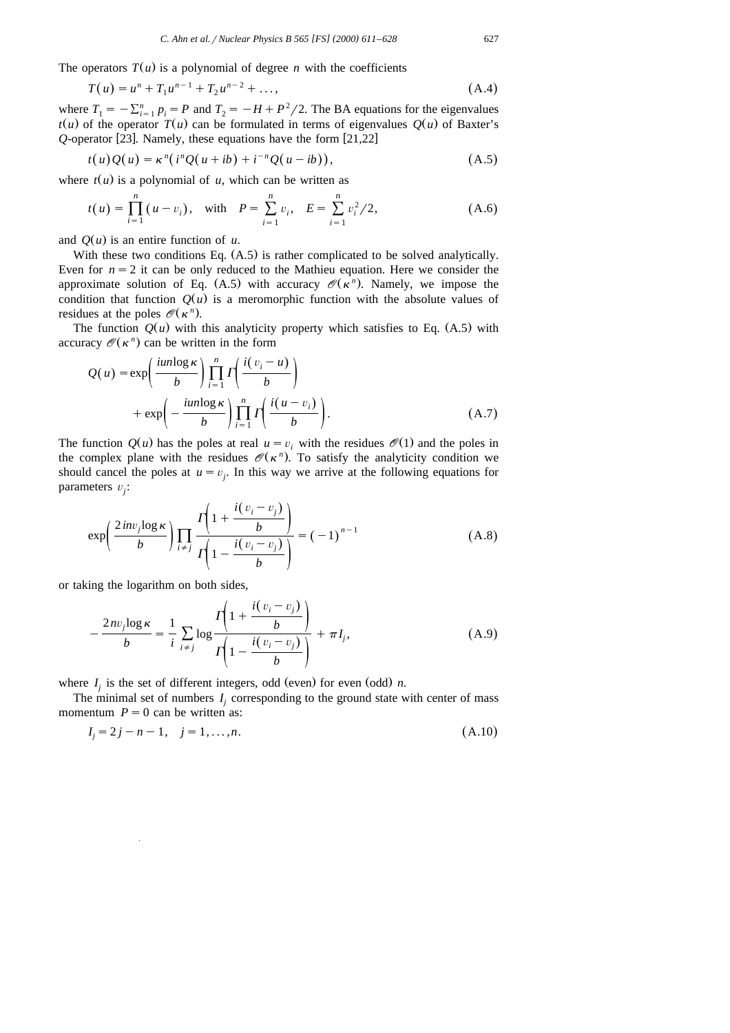The operators  $T(u)$  is a polynomial of degree *n* with the coefficients

$$
T(u) = u^{n} + T_{1}u^{n-1} + T_{2}u^{n-2} + ...,
$$
 (A.4)

where  $T_1 = -\sum_{i=1}^n p_i = P$  and  $T_2 = -H + P^2/2$ . The BA equations for the eigenvalues  $t(u)$  of the operator  $T(u)$  can be formulated in terms of eigenvalues  $Q(u)$  of Baxter's  $Q$ -operator [23]. Namely, these equations have the form  $[21,22]$ 

$$
t(u)Q(u) = \kappa^{n}(i^{n}Q(u+ib) + i^{-n}Q(u-ib)),
$$
\n(A.5)

where  $t(u)$  is a polynomial of *u*, which can be written as

$$
t(u) = \prod_{i=1}^{n} (u - v_i), \text{ with } P = \sum_{i=1}^{n} v_i, E = \sum_{i=1}^{n} v_i^2 / 2,
$$
 (A.6)

and  $O(u)$  is an entire function of *u*.

With these two conditions Eq.  $(A.5)$  is rather complicated to be solved analytically. Even for  $n = 2$  it can be only reduced to the Mathieu equation. Here we consider the approximate solution of Eq. (A.5) with accuracy  $\mathcal{O}(\kappa^n)$ . Namely, we impose the condition that function  $Q(u)$  is a meromorphic function with the absolute values of residues at the poles  $\mathcal{O}(\kappa^n)$ .

The function  $Q(u)$  with this analyticity property which satisfies to Eq. (A.5) with accuracy  $\mathcal{O}(\kappa^n)$  can be written in the form

$$
Q(u) = \exp\left(\frac{iun\log\kappa}{b}\right) \prod_{i=1}^{n} \Gamma\left(\frac{i(v_i - u)}{b}\right)
$$
  
+ 
$$
\exp\left(-\frac{iun\log\kappa}{b}\right) \prod_{i=1}^{n} \Gamma\left(\frac{i(u - v_i)}{b}\right).
$$
 (A.7)

The function  $Q(u)$  has the poles at real  $u = v_i$ , with the residues  $\mathcal{O}(1)$  and the poles in the complex plane with the residues  $\mathcal{O}(\kappa^n)$ . To satisfy the analyticity condition we should cancel the poles at  $u = v_i$ . In this way we arrive at the following equations for parameters  $v_j$ :

$$
\exp\left(\frac{2\operatorname{inv}_j \log \kappa}{b}\right) \prod_{i \neq j} \frac{\Gamma\left(1 + \frac{i(v_i - v_j)}{b}\right)}{\Gamma\left(1 - \frac{i(v_i - v_j)}{b}\right)} = (-1)^{n-1}
$$
\n(A.8)

or taking the logarithm on both sides,

$$
-\frac{2nv_j\log\kappa}{b} = \frac{1}{i}\sum_{i\neq j}\log\frac{\Gamma\left(1 + \frac{i(v_i - v_j)}{b}\right)}{\Gamma\left(1 - \frac{i(v_i - v_j)}{b}\right)} + \pi I_j,
$$
\n(A.9)

where  $I_i$  is the set of different integers, odd (even) for even (odd) *n*.

The minimal set of numbers  $I_j$  corresponding to the ground state with center of mass momentum  $P = 0$  can be written as:

$$
I_j = 2j - n - 1, \quad j = 1, \dots, n. \tag{A.10}
$$